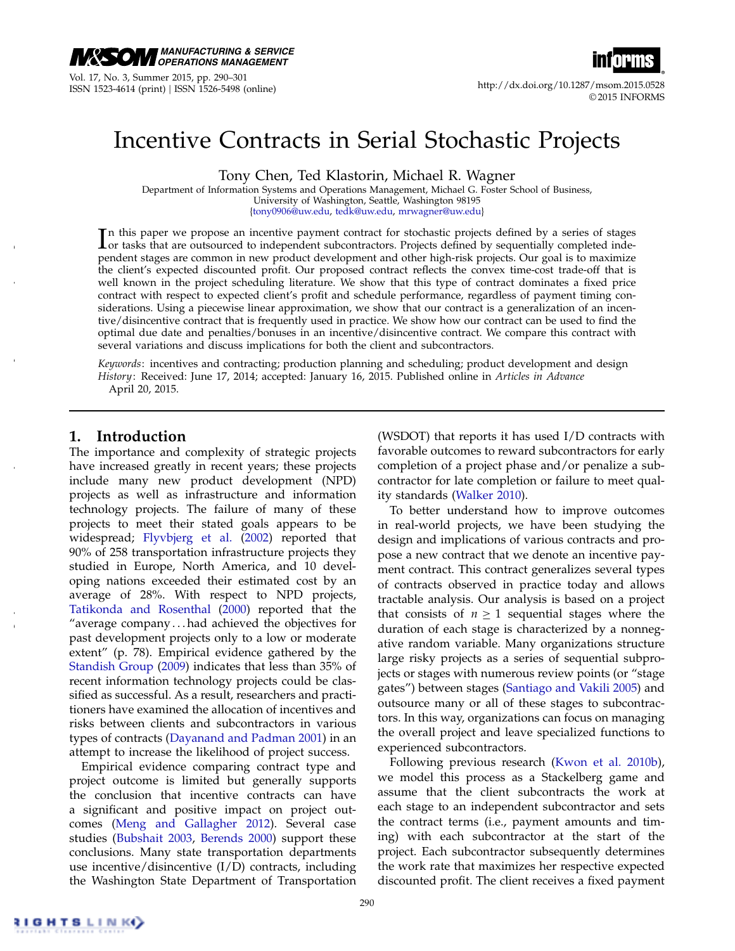



# Incentive Contracts in Serial Stochastic Projects

Tony Chen, Ted Klastorin, Michael R. Wagner

Department of Information Systems and Operations Management, Michael G. Foster School of Business, University of Washington, Seattle, Washington 98195 {tony0906@uw.edu, tedk@uw.edu, mrwagner@uw.edu}

In this paper we propose an incentive payment contract for stochastic projects defined by a series of stages or tasks that are outsourced to independent subcontractors. Projects defined by sequentially completed indeor tasks that are outsourced to independent subcontractors. Projects defined by sequentially completed independent stages are common in new product development and other high-risk projects. Our goal is to maximize the client's expected discounted profit. Our proposed contract reflects the convex time-cost trade-off that is well known in the project scheduling literature. We show that this type of contract dominates a fixed price contract with respect to expected client's profit and schedule performance, regardless of payment timing considerations. Using a piecewise linear approximation, we show that our contract is a generalization of an incentive/disincentive contract that is frequently used in practice. We show how our contract can be used to find the optimal due date and penalties/bonuses in an incentive/disincentive contract. We compare this contract with several variations and discuss implications for both the client and subcontractors.

*Keywords*: incentives and contracting; production planning and scheduling; product development and design *History*: Received: June 17, 2014; accepted: January 16, 2015. Published online in *Articles in Advance* April 20, 2015.

## 1. Introduction

The importance and complexity of strategic projects have increased greatly in recent years; these projects include many new product development (NPD) projects as well as infrastructure and information technology projects. The failure of many of these projects to meet their stated goals appears to be widespread; Flyvbjerg et al. (2002) reported that 90% of 258 transportation infrastructure projects they studied in Europe, North America, and 10 developing nations exceeded their estimated cost by an average of 28%. With respect to NPD projects, Tatikonda and Rosenthal (2000) reported that the "average company...bad achieved the objectives for past development projects only to a low or moderate extent" (p. 78). Empirical evidence gathered by the Standish Group (2009) indicates that less than 35% of recent information technology projects could be classified as successful. As a result, researchers and practitioners have examined the allocation of incentives and risks between clients and subcontractors in various types of contracts (Dayanand and Padman 2001) in an attempt to increase the likelihood of project success.

Empirical evidence comparing contract type and project outcome is limited but generally supports the conclusion that incentive contracts can have a significant and positive impact on project outcomes (Meng and Gallagher 2012). Several case studies (Bubshait 2003, Berends 2000) support these conclusions. Many state transportation departments use incentive/disincentive  $(I/D)$  contracts, including the Washington State Department of Transportation (WSDOT) that reports it has used I/D contracts with favorable outcomes to reward subcontractors for early completion of a project phase and/or penalize a subcontractor for late completion or failure to meet quality standards (Walker 2010).

To better understand how to improve outcomes in real-world projects, we have been studying the design and implications of various contracts and propose a new contract that we denote an incentive payment contract. This contract generalizes several types of contracts observed in practice today and allows tractable analysis. Our analysis is based on a project that consists of  $n \geq 1$  sequential stages where the duration of each stage is characterized by a nonnegative random variable. Many organizations structure large risky projects as a series of sequential subprojects or stages with numerous review points (or "stage gates") between stages (Santiago and Vakili 2005) and outsource many or all of these stages to subcontractors. In this way, organizations can focus on managing the overall project and leave specialized functions to experienced subcontractors.

Following previous research (Kwon et al. 2010b), we model this process as a Stackelberg game and assume that the client subcontracts the work at each stage to an independent subcontractor and sets the contract terms (i.e., payment amounts and timing) with each subcontractor at the start of the project. Each subcontractor subsequently determines the work rate that maximizes her respective expected discounted profit. The client receives a fixed payment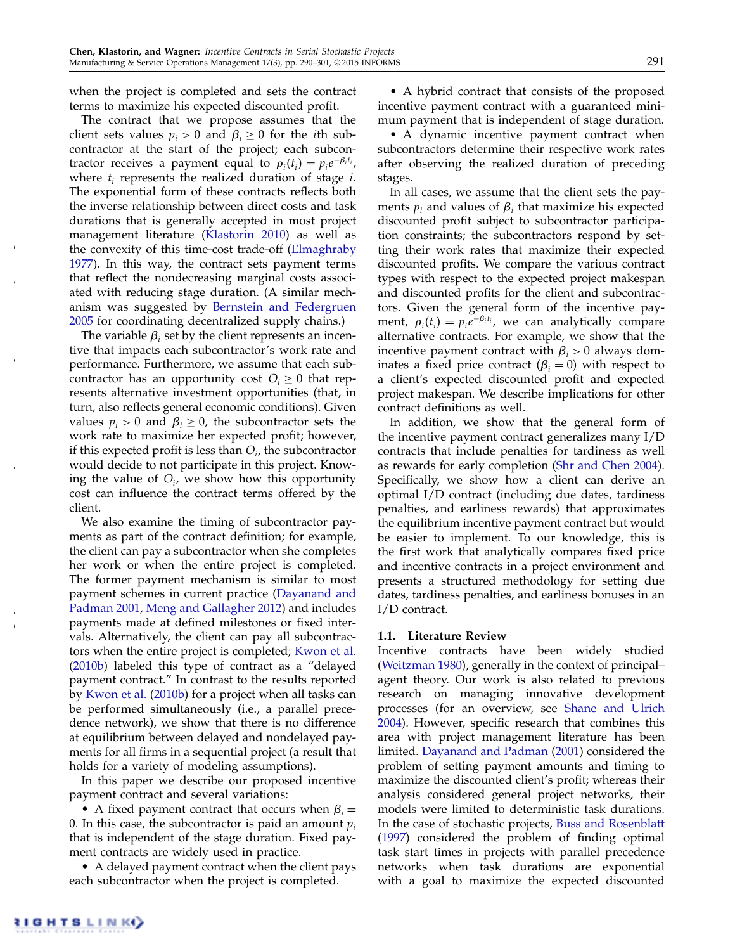when the project is completed and sets the contract terms to maximize his expected discounted profit.

The contract that we propose assumes that the client sets values  $p_i > 0$  and  $\beta_i \geq 0$  for the *i*th subcontractor at the start of the project; each subcontractor receives a payment equal to  $\rho_i(t_i) = p_i e^{-\beta_i t_i}$ , where  $t_i$  represents the realized duration of stage  $i$ . The exponential form of these contracts reflects both the inverse relationship between direct costs and task durations that is generally accepted in most project management literature (Klastorin 2010) as well as the convexity of this time-cost trade-off (Elmaghraby 1977). In this way, the contract sets payment terms that reflect the nondecreasing marginal costs associated with reducing stage duration. (A similar mechanism was suggested by Bernstein and Federgruen 2005 for coordinating decentralized supply chains.)

The variable  $\beta_i$  set by the client represents an incentive that impacts each subcontractor's work rate and performance. Furthermore, we assume that each subcontractor has an opportunity cost  $O_i \geq 0$  that represents alternative investment opportunities (that, in turn, also reflects general economic conditions). Given values  $p_i > 0$  and  $\beta_i \geq 0$ , the subcontractor sets the work rate to maximize her expected profit; however, if this expected profit is less than  $O_i$ , the subcontractor would decide to not participate in this project. Knowing the value of  $O_i$ , we show how this opportunity cost can influence the contract terms offered by the client.

We also examine the timing of subcontractor payments as part of the contract definition; for example, the client can pay a subcontractor when she completes her work or when the entire project is completed. The former payment mechanism is similar to most payment schemes in current practice (Dayanand and Padman 2001, Meng and Gallagher 2012) and includes payments made at defined milestones or fixed intervals. Alternatively, the client can pay all subcontractors when the entire project is completed; Kwon et al. (2010b) labeled this type of contract as a "delayed payment contract." In contrast to the results reported by Kwon et al. (2010b) for a project when all tasks can be performed simultaneously (i.e., a parallel precedence network), we show that there is no difference at equilibrium between delayed and nondelayed payments for all firms in a sequential project (a result that holds for a variety of modeling assumptions).

In this paper we describe our proposed incentive payment contract and several variations:

• A fixed payment contract that occurs when  $\beta_i =$ 0. In this case, the subcontractor is paid an amount  $p_i$ that is independent of the stage duration. Fixed payment contracts are widely used in practice.

• A delayed payment contract when the client pays each subcontractor when the project is completed.

• A hybrid contract that consists of the proposed incentive payment contract with a guaranteed minimum payment that is independent of stage duration.

• A dynamic incentive payment contract when subcontractors determine their respective work rates after observing the realized duration of preceding stages.

In all cases, we assume that the client sets the payments  $p_i$  and values of  $\beta_i$  that maximize his expected discounted profit subject to subcontractor participation constraints; the subcontractors respond by setting their work rates that maximize their expected discounted profits. We compare the various contract types with respect to the expected project makespan and discounted profits for the client and subcontractors. Given the general form of the incentive payment,  $\rho_i(t_i) = p_i e^{-\beta_i t_i}$ , we can analytically compare alternative contracts. For example, we show that the incentive payment contract with  $\beta_i > 0$  always dominates a fixed price contract  $(\beta_i = 0)$  with respect to a client's expected discounted profit and expected project makespan. We describe implications for other contract definitions as well.

In addition, we show that the general form of the incentive payment contract generalizes many I/D contracts that include penalties for tardiness as well as rewards for early completion (Shr and Chen 2004). Specifically, we show how a client can derive an optimal I/D contract (including due dates, tardiness penalties, and earliness rewards) that approximates the equilibrium incentive payment contract but would be easier to implement. To our knowledge, this is the first work that analytically compares fixed price and incentive contracts in a project environment and presents a structured methodology for setting due dates, tardiness penalties, and earliness bonuses in an I/D contract.

#### 1.1. Literature Review

Incentive contracts have been widely studied (Weitzman 1980), generally in the context of principal– agent theory. Our work is also related to previous research on managing innovative development processes (for an overview, see Shane and Ulrich 2004). However, specific research that combines this area with project management literature has been limited. Dayanand and Padman (2001) considered the problem of setting payment amounts and timing to maximize the discounted client's profit; whereas their analysis considered general project networks, their models were limited to deterministic task durations. In the case of stochastic projects, Buss and Rosenblatt (1997) considered the problem of finding optimal task start times in projects with parallel precedence networks when task durations are exponential with a goal to maximize the expected discounted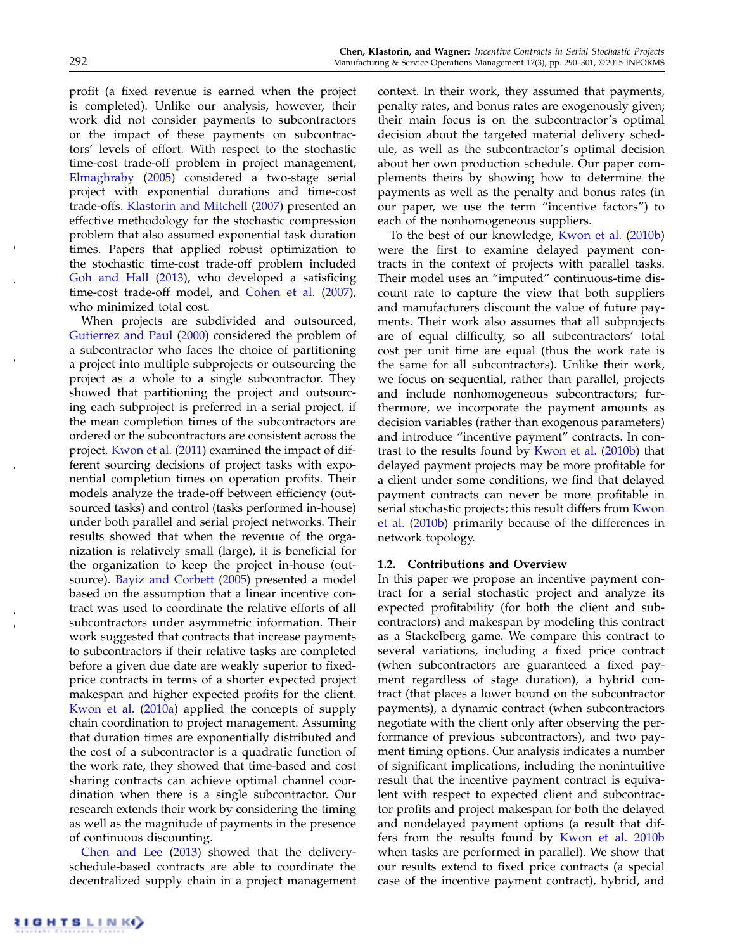profit (a fixed revenue is earned when the project is completed). Unlike our analysis, however, their work did not consider payments to subcontractors or the impact of these payments on subcontractors' levels of effort. With respect to the stochastic time-cost trade-off problem in project management, Elmaghraby (2005) considered a two-stage serial project with exponential durations and time-cost trade-offs. Klastorin and Mitchell (2007) presented an effective methodology for the stochastic compression problem that also assumed exponential task duration times. Papers that applied robust optimization to the stochastic time-cost trade-off problem included Goh and Hall (2013), who developed a satisficing time-cost trade-off model, and Cohen et al. (2007), who minimized total cost.

When projects are subdivided and outsourced, Gutierrez and Paul (2000) considered the problem of a subcontractor who faces the choice of partitioning a project into multiple subprojects or outsourcing the project as a whole to a single subcontractor. They showed that partitioning the project and outsourcing each subproject is preferred in a serial project, if the mean completion times of the subcontractors are ordered or the subcontractors are consistent across the project. Kwon et al. (2011) examined the impact of different sourcing decisions of project tasks with exponential completion times on operation profits. Their models analyze the trade-off between efficiency (outsourced tasks) and control (tasks performed in-house) under both parallel and serial project networks. Their results showed that when the revenue of the organization is relatively small (large), it is beneficial for the organization to keep the project in-house (outsource). Bayiz and Corbett (2005) presented a model based on the assumption that a linear incentive contract was used to coordinate the relative efforts of all subcontractors under asymmetric information. Their work suggested that contracts that increase payments to subcontractors if their relative tasks are completed before a given due date are weakly superior to fixedprice contracts in terms of a shorter expected project makespan and higher expected profits for the client. Kwon et al. (2010a) applied the concepts of supply chain coordination to project management. Assuming that duration times are exponentially distributed and the cost of a subcontractor is a quadratic function of the work rate, they showed that time-based and cost sharing contracts can achieve optimal channel coordination when there is a single subcontractor. Our research extends their work by considering the timing as well as the magnitude of payments in the presence of continuous discounting.

Chen and Lee (2013) showed that the deliveryschedule-based contracts are able to coordinate the decentralized supply chain in a project management context. In their work, they assumed that payments, penalty rates, and bonus rates are exogenously given; their main focus is on the subcontractor's optimal decision about the targeted material delivery schedule, as well as the subcontractor's optimal decision about her own production schedule. Our paper complements theirs by showing how to determine the payments as well as the penalty and bonus rates (in our paper, we use the term "incentive factors") to each of the nonhomogeneous suppliers.

To the best of our knowledge, Kwon et al. (2010b) were the first to examine delayed payment contracts in the context of projects with parallel tasks. Their model uses an "imputed" continuous-time discount rate to capture the view that both suppliers and manufacturers discount the value of future payments. Their work also assumes that all subprojects are of equal difficulty, so all subcontractors' total cost per unit time are equal (thus the work rate is the same for all subcontractors). Unlike their work, we focus on sequential, rather than parallel, projects and include nonhomogeneous subcontractors; furthermore, we incorporate the payment amounts as decision variables (rather than exogenous parameters) and introduce "incentive payment" contracts. In contrast to the results found by Kwon et al. (2010b) that delayed payment projects may be more profitable for a client under some conditions, we find that delayed payment contracts can never be more profitable in serial stochastic projects; this result differs from Kwon et al. (2010b) primarily because of the differences in network topology.

#### 1.2. Contributions and Overview

In this paper we propose an incentive payment contract for a serial stochastic project and analyze its expected profitability (for both the client and subcontractors) and makespan by modeling this contract as a Stackelberg game. We compare this contract to several variations, including a fixed price contract (when subcontractors are guaranteed a fixed payment regardless of stage duration), a hybrid contract (that places a lower bound on the subcontractor payments), a dynamic contract (when subcontractors negotiate with the client only after observing the performance of previous subcontractors), and two payment timing options. Our analysis indicates a number of significant implications, including the nonintuitive result that the incentive payment contract is equivalent with respect to expected client and subcontractor profits and project makespan for both the delayed and nondelayed payment options (a result that differs from the results found by Kwon et al. 2010b when tasks are performed in parallel). We show that our results extend to fixed price contracts (a special case of the incentive payment contract), hybrid, and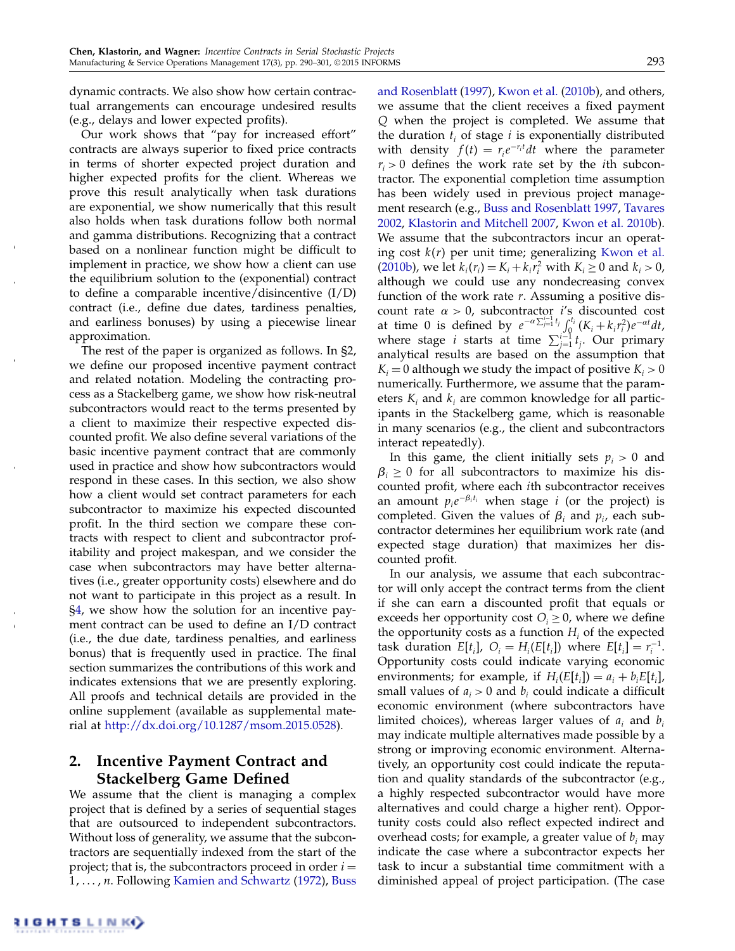dynamic contracts. We also show how certain contractual arrangements can encourage undesired results (e.g., delays and lower expected profits).

Our work shows that "pay for increased effort" contracts are always superior to fixed price contracts in terms of shorter expected project duration and higher expected profits for the client. Whereas we prove this result analytically when task durations are exponential, we show numerically that this result also holds when task durations follow both normal and gamma distributions. Recognizing that a contract based on a nonlinear function might be difficult to implement in practice, we show how a client can use the equilibrium solution to the (exponential) contract to define a comparable incentive/disincentive (I/D) contract (i.e., define due dates, tardiness penalties, and earliness bonuses) by using a piecewise linear approximation.

The rest of the paper is organized as follows. In §2, we define our proposed incentive payment contract and related notation. Modeling the contracting process as a Stackelberg game, we show how risk-neutral subcontractors would react to the terms presented by a client to maximize their respective expected discounted profit. We also define several variations of the basic incentive payment contract that are commonly used in practice and show how subcontractors would respond in these cases. In this section, we also show how a client would set contract parameters for each subcontractor to maximize his expected discounted profit. In the third section we compare these contracts with respect to client and subcontractor profitability and project makespan, and we consider the case when subcontractors may have better alternatives (i.e., greater opportunity costs) elsewhere and do not want to participate in this project as a result. In §4, we show how the solution for an incentive payment contract can be used to define an I/D contract (i.e., the due date, tardiness penalties, and earliness bonus) that is frequently used in practice. The final section summarizes the contributions of this work and indicates extensions that we are presently exploring. All proofs and technical details are provided in the online supplement (available as supplemental material at http://dx.doi.org/10.1287/msom.2015.0528).

## 2. Incentive Payment Contract and Stackelberg Game Defined

We assume that the client is managing a complex project that is defined by a series of sequential stages that are outsourced to independent subcontractors. Without loss of generality, we assume that the subcontractors are sequentially indexed from the start of the project; that is, the subcontractors proceed in order  $i =$ 1, ..., *n*. Following Kamien and Schwartz (1972), Buss and Rosenblatt (1997), Kwon et al. (2010b), and others, we assume that the client receives a fixed payment *Q* when the project is completed. We assume that the duration  $t_i$  of stage  $i$  is exponentially distributed with density  $f(t) = r_i e^{-r_i t} dt$  where the parameter  $r_i > 0$  defines the work rate set by the *i*th subcontractor. The exponential completion time assumption has been widely used in previous project management research (e.g., Buss and Rosenblatt 1997, Tavares 2002, Klastorin and Mitchell 2007, Kwon et al. 2010b). We assume that the subcontractors incur an operating cost  $k(r)$  per unit time; generalizing Kwon et al.  $(2010b)$ , we let  $k_i(r_i) = K_i + k_i r_i^2$  with  $K_i \ge 0$  and  $k_i > 0$ , although we could use any nondecreasing convex function of the work rate *r*. Assuming a positive discount rate  $\alpha > 0$ , subcontractor *i*'s discounted cost at time 0 is defined by  $e^{-\alpha \sum_{j=1}^{i-1} t_j} \int_{0}^{t_i} (K_i + k_i r_i^2) e^{-\alpha t} dt$ , where stage *i* starts at time  $\sum_{j=1}^{i-1} t_j$ . Our primary analytical results are based on the assumption that  $K_i = 0$  although we study the impact of positive  $K_i > 0$ numerically. Furthermore, we assume that the parameters *Ki* and *ki* are common knowledge for all participants in the Stackelberg game, which is reasonable in many scenarios (e.g., the client and subcontractors interact repeatedly).

In this game, the client initially sets  $p_i > 0$  and  $\beta_i \geq 0$  for all subcontractors to maximize his discounted profit, where each *i*th subcontractor receives an amount  $p_i e^{-\beta_i t_i}$  when stage *i* (or the project) is completed. Given the values of  $\beta_i$  and  $p_i$ , each subcontractor determines her equilibrium work rate (and expected stage duration) that maximizes her discounted profit.

In our analysis, we assume that each subcontractor will only accept the contract terms from the client if she can earn a discounted profit that equals or exceeds her opportunity cost  $O_i \geq 0$ , where we define the opportunity costs as a function  $H_i$  of the expected task duration  $E[t_i]$ ,  $O_i = H_i(E[t_i])$  where  $E[t_i] = r_i^{-1}$ . Opportunity costs could indicate varying economic environments; for example, if  $H_i(E[t_i]) = a_i + b_i E[t_i]$ , small values of  $a_i > 0$  and  $b_i$  could indicate a difficult economic environment (where subcontractors have limited choices), whereas larger values of *ai* and *bi* may indicate multiple alternatives made possible by a strong or improving economic environment. Alternatively, an opportunity cost could indicate the reputation and quality standards of the subcontractor (e.g., a highly respected subcontractor would have more alternatives and could charge a higher rent). Opportunity costs could also reflect expected indirect and overhead costs; for example, a greater value of *bi* may indicate the case where a subcontractor expects her task to incur a substantial time commitment with a diminished appeal of project participation. (The case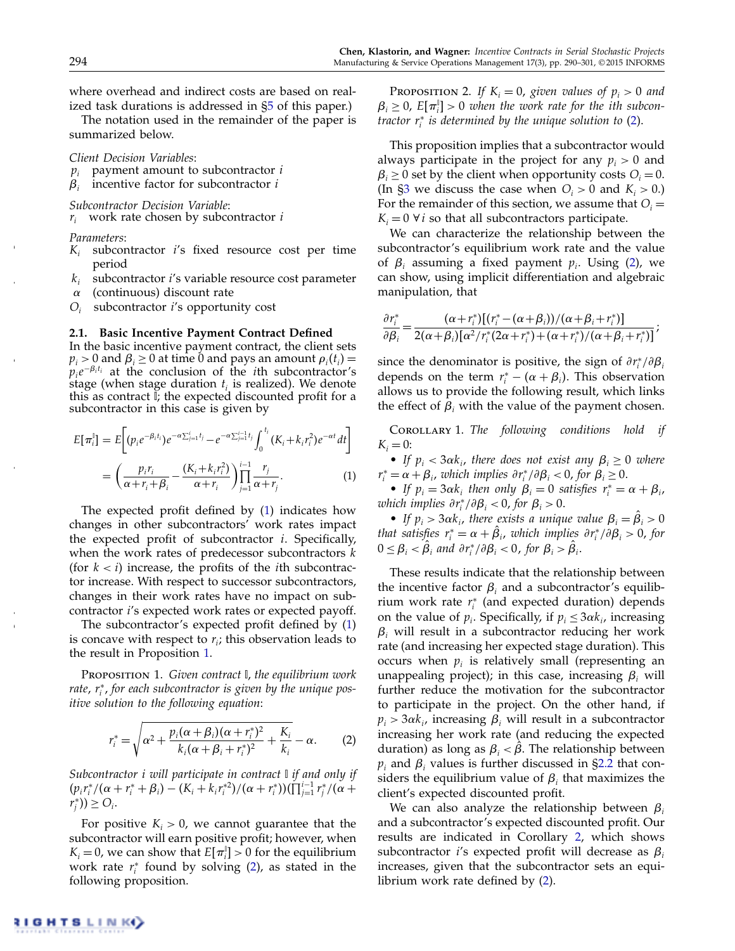where overhead and indirect costs are based on realized task durations is addressed in §5 of this paper.)

The notation used in the remainder of the paper is summarized below.

Client Decision Variables:

- payment amount to subcontractor i  $p_i$
- incentive factor for subcontractor i  $\beta_i$

Subcontractor Decision Variable:

 $r_i$  work rate chosen by subcontractor  $i$ 

Parameters:

- subcontractor i's fixed resource cost per time  $K_i$ period
- $k_i$ subcontractor i's variable resource cost parameter
- (continuous) discount rate  $\alpha$
- $O_i$  subcontractor i's opportunity cost

#### 2.1. Basic Incentive Payment Contract Defined

In the basic incentive payment contract, the client sets  $p_i > 0$  and  $\beta_i \ge 0$  at time 0 and pays an amount  $\rho_i(t_i) =$  $p_i e^{-\beta_i t_i}$  at the conclusion of the *i*th subcontractor's stage (when stage duration  $t_i$  is realized). We denote this as contract  $\tilde{I}$ ; the expected discounted profit for a subcontractor in this case is given by

$$
E[\pi_i^{\parallel}] = E\bigg[ (p_i e^{-\beta_i t_i}) e^{-\alpha \sum_{j=1}^i t_j} - e^{-\alpha \sum_{j=1}^{i-1} t_j} \int_0^{t_i} (K_i + k_i r_i^2) e^{-\alpha t} dt \bigg]
$$
  
=  $\bigg( \frac{p_i r_i}{\alpha + r_i + \beta_i} - \frac{(K_i + k_i r_i^2)}{\alpha + r_i} \bigg) \prod_{j=1}^{i-1} \frac{r_j}{\alpha + r_j}.$  (1)

The expected profit defined by (1) indicates how changes in other subcontractors' work rates impact the expected profit of subcontractor  $i$ . Specifically, when the work rates of predecessor subcontractors  $k$ (for  $k < i$ ) increase, the profits of the *i*th subcontractor increase. With respect to successor subcontractors, changes in their work rates have no impact on subcontractor *i's* expected work rates or expected payoff.

The subcontractor's expected profit defined by (1) is concave with respect to  $r_i$ ; this observation leads to the result in Proposition 1.

PROPOSITION 1. Given contract I, the equilibrium work rate,  $r_i^*$ , for each subcontractor is given by the unique pos*itive solution to the following equation:* 

$$
r_i^* = \sqrt{\alpha^2 + \frac{p_i(\alpha + \beta_i)(\alpha + r_i^*)^2}{k_i(\alpha + \beta_i + r_i^*)^2} + \frac{K_i}{k_i}} - \alpha.
$$
 (2)

Subcontractor i will participate in contract  $\mathbb I$  if and only if  $(p_i r_i^*/(\alpha + r_i^* + \beta_i) - (K_i + k_i r_i^*)/(\alpha + r_i^*))\prod_{j=1}^{i-1} r_j^*/(\alpha +$  $(r_i^*)) \geq O_i$ .

For positive  $K_i > 0$ , we cannot guarantee that the subcontractor will earn positive profit; however, when  $K_i = 0$ , we can show that  $E[\pi_i] > 0$  for the equilibrium work rate  $r_i^*$  found by solving (2), as stated in the following proposition.

PROPOSITION 2. If  $K_i = 0$ , given values of  $p_i > 0$  and  $\beta_i \geq 0$ ,  $E[\pi_i^{\parallel}] > 0$  when the work rate for the ith subcontractor  $r_i^*$  is determined by the unique solution to (2).

This proposition implies that a subcontractor would always participate in the project for any  $p_i > 0$  and  $\beta_i \geq 0$  set by the client when opportunity costs  $O_i = 0$ . (In §3 we discuss the case when  $O_i > 0$  and  $K_i > 0$ .) For the remainder of this section, we assume that  $O_i =$  $K_i = 0$   $\forall i$  so that all subcontractors participate.

We can characterize the relationship between the subcontractor's equilibrium work rate and the value of  $\beta_i$  assuming a fixed payment  $p_i$ . Using (2), we can show, using implicit differentiation and algebraic manipulation, that

$$
\frac{\partial r_i^*}{\partial \beta_i} = \frac{(\alpha + r_i^*)[(r_i^* - (\alpha + \beta_i))/(\alpha + \beta_i + r_i^*)]}{2(\alpha + \beta_i)[\alpha^2/r_i^*(2\alpha + r_i^*) + (\alpha + r_i^*)/(\alpha + \beta_i + r_i^*)]};
$$

since the denominator is positive, the sign of  $\partial r_i^* / \partial \beta_i$ depends on the term  $r_i^* - (\alpha + \beta_i)$ . This observation allows us to provide the following result, which links the effect of  $\beta_i$  with the value of the payment chosen.

COROLLARY 1. The following conditions hold if  $K_i = 0$ :

• If  $p_i < 3\alpha k_i$ , there does not exist any  $\beta_i \geq 0$  where  $r_i^* = \alpha + \beta_i$ , which implies  $\partial r_i^* / \partial \beta_i < 0$ , for  $\beta_i \geq 0$ .

• If  $p_i = 3\alpha k_i$  then only  $\beta_i = 0$  satisfies  $r_i^* = \alpha + \beta_i$ , which implies  $\partial r_i^* / \partial \beta_i < 0$ , for  $\beta_i > 0$ .

• If  $p_i > 3\alpha k_i$ , there exists a unique value  $\beta_i = \hat{\beta}_i > 0$ that satisfies  $r_i^* = \alpha + \hat{\beta}_i$ , which implies  $\partial r_i^* / \partial \beta_i > 0$ , for  $0 \leq \beta_i < \beta_i$  and  $\partial r_i^* / \partial \beta_i < 0$ , for  $\beta_i > \beta_i$ .

These results indicate that the relationship between the incentive factor  $\beta_i$  and a subcontractor's equilibrium work rate  $r_i^*$  (and expected duration) depends on the value of  $p_i$ . Specifically, if  $p_i \leq 3\alpha k_i$ , increasing  $\beta_i$  will result in a subcontractor reducing her work rate (and increasing her expected stage duration). This occurs when  $p_i$  is relatively small (representing an unappealing project); in this case, increasing  $\beta_i$ , will further reduce the motivation for the subcontractor to participate in the project. On the other hand, if  $p_i > 3\alpha k_i$ , increasing  $\beta_i$  will result in a subcontractor increasing her work rate (and reducing the expected duration) as long as  $\beta_i < \beta$ . The relationship between  $p_i$  and  $\beta_i$  values is further discussed in §2.2 that considers the equilibrium value of  $\beta_i$  that maximizes the client's expected discounted profit.

We can also analyze the relationship between  $\beta_i$ and a subcontractor's expected discounted profit. Our results are indicated in Corollary 2, which shows subcontractor i's expected profit will decrease as  $\beta_i$ increases, given that the subcontractor sets an equilibrium work rate defined by  $(2)$ .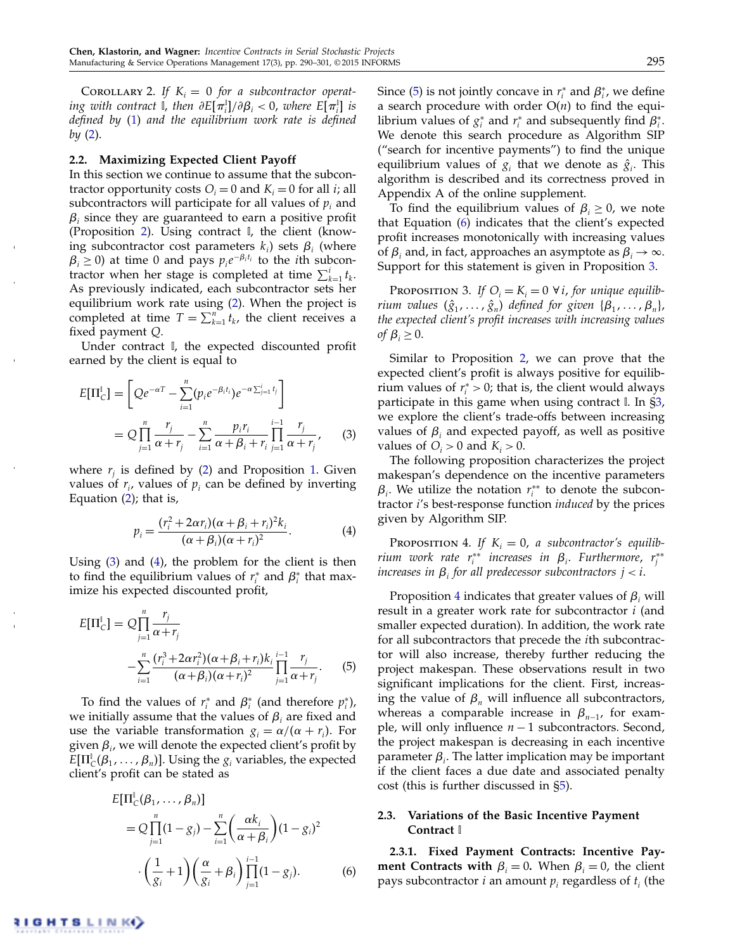COROLLARY 2. If  $K_i = 0$  for a subcontractor operating with contract  $\mathbb{I}$ , then  $\partial E[\pi_i^{\mathbb{I}}]/\partial \beta_i < 0$ , where  $E[\pi_i^{\mathbb{I}}]$  is defined by (1) and the equilibrium work rate is defined by  $(2)$ .

#### 2.2. Maximizing Expected Client Payoff

In this section we continue to assume that the subcontractor opportunity costs  $O_i = 0$  and  $K_i = 0$  for all *i*; all subcontractors will participate for all values of  $p_i$  and  $\beta_i$  since they are guaranteed to earn a positive profit (Proposition 2). Using contract I, the client (knowing subcontractor cost parameters  $k_i$ ) sets  $\beta_i$  (where  $\beta_i \geq 0$ ) at time 0 and pays  $p_i e^{-\beta_i t_i}$  to the *i*th subcontractor when her stage is completed at time  $\sum_{k=1}^{t} t_k$ . As previously indicated, each subcontractor sets her equilibrium work rate using  $(2)$ . When the project is completed at time  $T = \sum_{k=1}^{n} t_k$ , the client receives a fixed payment Q.

Under contract I, the expected discounted profit earned by the client is equal to

$$
E[\Pi_{C}^{\mathbb{I}}] = \left[ Q e^{-\alpha T} - \sum_{i=1}^{n} (p_i e^{-\beta_i t_i}) e^{-\alpha \sum_{j=1}^{i} t_j} \right]
$$
  
=  $Q \prod_{j=1}^{n} \frac{r_j}{\alpha + r_j} - \sum_{i=1}^{n} \frac{p_i r_i}{\alpha + \beta_i + r_i} \prod_{j=1}^{i-1} \frac{r_j}{\alpha + r_j},$  (3)

where  $r_i$  is defined by (2) and Proposition 1. Given values of  $r_i$ , values of  $p_i$  can be defined by inverting Equation  $(2)$ ; that is,

$$
p_i = \frac{(r_i^2 + 2\alpha r_i)(\alpha + \beta_i + r_i)^2 k_i}{(\alpha + \beta_i)(\alpha + r_i)^2}.
$$
 (4)

Using  $(3)$  and  $(4)$ , the problem for the client is then to find the equilibrium values of  $r_i^*$  and  $\beta_i^*$  that maximize his expected discounted profit,

$$
E[\Pi_{C}^{1}] = Q \prod_{j=1}^{n} \frac{r_{j}}{\alpha + r_{j}} - \frac{\sum_{i=1}^{n} (r_{i}^{3} + 2\alpha r_{i}^{2})(\alpha + \beta_{i} + r_{i})k_{i}}{(\alpha + \beta_{i})(\alpha + r_{i})^{2}} \prod_{j=1}^{n-1} \frac{r_{j}}{\alpha + r_{j}}.
$$
 (5)

To find the values of  $r_i^*$  and  $\beta_i^*$  (and therefore  $p_i^*$ ), we initially assume that the values of  $\beta_i$  are fixed and use the variable transformation  $g_i = \alpha/(\alpha + r_i)$ . For given  $\beta_i$ , we will denote the expected client's profit by  $E[\Pi_{\mathcal{C}}^{I}(\beta_1,\ldots,\beta_n)]$ . Using the  $g_i$  variables, the expected client's profit can be stated as

$$
E[\Pi_{\mathcal{C}}^{1}(\beta_{1},...,\beta_{n})]
$$
  
=  $Q\prod_{j=1}^{n}(1-g_{j}) - \sum_{i=1}^{n}\left(\frac{\alpha k_{i}}{\alpha+\beta_{i}}\right)(1-g_{i})^{2}$   

$$
\cdot \left(\frac{1}{g_{i}} + 1\right)\left(\frac{\alpha}{g_{i}} + \beta_{i}\right)\prod_{j=1}^{i-1}(1-g_{j}).
$$
 (6)

Since (5) is not jointly concave in  $r_i^*$  and  $\beta_i^*$ , we define a search procedure with order  $O(n)$  to find the equilibrium values of  $g_i^*$  and  $r_i^*$  and subsequently find  $\beta_i^*$ . We denote this search procedure as Algorithm SIP ("search for incentive payments") to find the unique equilibrium values of  $g_i$  that we denote as  $\hat{g}_i$ . This algorithm is described and its correctness proved in Appendix A of the online supplement.

To find the equilibrium values of  $\beta_i \geq 0$ , we note that Equation (6) indicates that the client's expected profit increases monotonically with increasing values of  $\beta_i$  and, in fact, approaches an asymptote as  $\beta_i \rightarrow \infty$ . Support for this statement is given in Proposition 3.

**PROPOSITION** 3. If  $O_i = K_i = 0 \ \forall i$ , for unique equilibrium values  $(\hat{g}_1,\ldots,\hat{g}_n)$  defined for given  $\{\beta_1,\ldots,\beta_n\}$ , the expected client's profit increases with increasing values of  $\beta_i \geq 0$ .

Similar to Proposition 2, we can prove that the expected client's profit is always positive for equilibrium values of  $r_i^* > 0$ ; that is, the client would always participate in this game when using contract  $\mathbb{I}$ . In §3, we explore the client's trade-offs between increasing values of  $\beta_i$  and expected payoff, as well as positive values of  $O_i > 0$  and  $K_i > 0$ .

The following proposition characterizes the project makespan's dependence on the incentive parameters  $\beta_i$ . We utilize the notation  $r_i^{**}$  to denote the subcontractor *i's* best-response function *induced* by the prices given by Algorithm SIP.

PROPOSITION 4. If  $K_i = 0$ , a subcontractor's equilibrium work rate  $r_i^{**}$  increases in  $\beta_i$ . Furthermore,  $r_i^{**}$ increases in  $\beta_i$  for all predecessor subcontractors  $j < i$ .

Proposition 4 indicates that greater values of  $\beta_i$  will result in a greater work rate for subcontractor *i* (and smaller expected duration). In addition, the work rate for all subcontractors that precede the *i*th subcontractor will also increase, thereby further reducing the project makespan. These observations result in two significant implications for the client. First, increasing the value of  $\beta_n$  will influence all subcontractors, whereas a comparable increase in  $\beta_{n-1}$ , for example, will only influence  $n-1$  subcontractors. Second, the project makespan is decreasing in each incentive parameter  $\beta_i$ . The latter implication may be important if the client faces a due date and associated penalty cost (this is further discussed in  $\S5$ ).

### 2.3. Variations of the Basic Incentive Payment Contract |

2.3.1. Fixed Payment Contracts: Incentive Pay**ment Contracts with**  $\beta_i = 0$ . When  $\beta_i = 0$ , the client pays subcontractor *i* an amount  $p_i$  regardless of  $t_i$  (the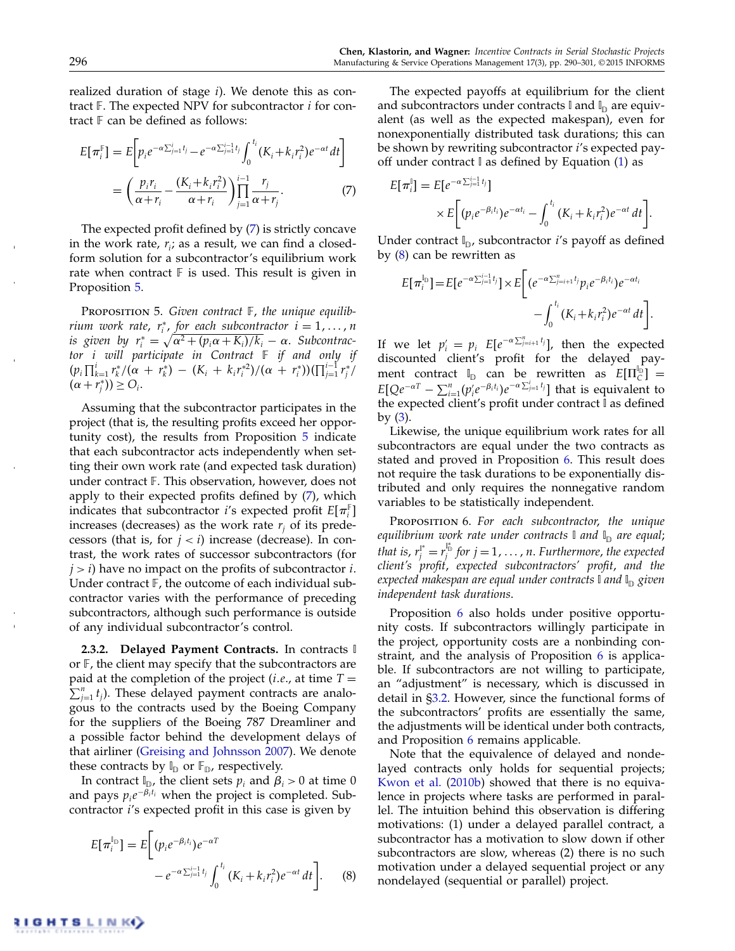realized duration of stage  $i$ ). We denote this as contract  $F$ . The expected NPV for subcontractor  $i$  for contract F can be defined as follows:

$$
E[\pi_i^{\mathbb{F}}] = E\bigg[p_i e^{-\alpha \sum_{j=1}^i t_j} - e^{-\alpha \sum_{j=1}^{i-1} t_j} \int_0^{t_i} (K_i + k_i r_i^2) e^{-\alpha t} dt \bigg] = \bigg(\frac{p_i r_i}{\alpha + r_i} - \frac{(K_i + k_i r_i^2)}{\alpha + r_i}\bigg) \prod_{j=1}^{i-1} \frac{r_j}{\alpha + r_j}.
$$
 (7)

The expected profit defined by  $(7)$  is strictly concave in the work rate,  $r_i$ ; as a result, we can find a closedform solution for a subcontractor's equilibrium work rate when contract  $F$  is used. This result is given in Proposition 5.

PROPOSITION 5. Given contract  $F$ , the unique equilibrium work rate,  $r_i^*$ , for each subcontractor  $i = 1, ..., n$ is given by  $r_i^* = \sqrt{\alpha^2 + (p_i \alpha + K_i)/k_i} - \alpha$ . Subcontractor i will participate in Contract  $F$  if and only if  $(p_i \prod_{k=1}^i r_k^*/(\alpha + r_k^*) - (K_i + k_i r_i^{*2})/(\alpha + r_i^*))\prod_{i=1}^{i-1} r_i^*/(\alpha + r_i^*)$  $(\alpha + r_i^*)) \geq O_i$ .

Assuming that the subcontractor participates in the project (that is, the resulting profits exceed her opportunity cost), the results from Proposition  $\overline{5}$  indicate that each subcontractor acts independently when setting their own work rate (and expected task duration) under contract F. This observation, however, does not apply to their expected profits defined by (7), which indicates that subcontractor *i*'s expected profit  $E[\pi_i^*]$ increases (decreases) as the work rate  $r_i$  of its predecessors (that is, for  $j < i$ ) increase (decrease). In contrast, the work rates of successor subcontractors (for  $i > i$ ) have no impact on the profits of subcontractor *i*. Under contract  $F$ , the outcome of each individual subcontractor varies with the performance of preceding subcontractors, although such performance is outside of any individual subcontractor's control.

2.3.2. Delayed Payment Contracts. In contracts I or  $\mathbb{F}$ , the client may specify that the subcontractors are paid at the completion of the project (*i.e.*, at time  $T =$  $\sum_{i=1}^{n} t_i$ ). These delayed payment contracts are analogous to the contracts used by the Boeing Company for the suppliers of the Boeing 787 Dreamliner and a possible factor behind the development delays of that airliner (Greising and Johnsson 2007). We denote these contracts by  $\mathbb{I}_{\mathbb{D}}$  or  $\mathbb{F}_{\mathbb{D}}$ , respectively.

In contract  $\mathbb{I}_{D}$ , the client sets  $p_i$  and  $\beta_i > 0$  at time 0 and pays  $p_i e^{-\beta_i t_i}$  when the project is completed. Subcontractor i's expected profit in this case is given by

$$
E[\pi_i^{\mathbb{I}_D}] = E\bigg[\left(p_i e^{-\beta_i t_i}\right) e^{-\alpha T} - e^{-\alpha \sum_{j=1}^{i-1} t_j} \int_0^{t_i} \left(K_i + k_i r_i^2\right) e^{-\alpha t} dt\bigg].\tag{8}
$$

The expected payoffs at equilibrium for the client and subcontractors under contracts  $\mathbb{I}$  and  $\mathbb{I}_D$  are equivalent (as well as the expected makespan), even for nonexponentially distributed task durations; this can be shown by rewriting subcontractor i's expected payoff under contract  $\mathbb I$  as defined by Equation (1) as

$$
E[\pi_i^{\parallel}] = E[e^{-\alpha \sum_{j=1}^{t-1} t_j}]
$$
  
 
$$
\times E\left[ (p_i e^{-\beta_i t_i}) e^{-\alpha t_i} - \int_0^{t_i} (K_i + k_i r_i^2) e^{-\alpha t} dt \right].
$$

Under contract  $\mathbb{I}_D$ , subcontractor *i*'s payoff as defined by  $(8)$  can be rewritten as

$$
E[\pi_i^{\mathbb{I}_0}] = E[e^{-\alpha \sum_{j=1}^{i-1} t_j}] \times E\left[ (e^{-\alpha \sum_{j=i+1}^{n} t_j} p_i e^{-\beta_i t_i}) e^{-\alpha t_i} - \int_0^{t_i} (K_i + k_i r_i^2) e^{-\alpha t} dt \right].
$$

If we let  $p'_i = p_i E[e^{-\alpha \sum_{j=i+1}^n t_j}]$ , then the expected discounted client's profit for the delayed payment contract  $\mathbb{I}_{\mathbb{D}}$  can be rewritten as  $E[\Pi_{\mathbb{C}}^{\mathbb{D}}] =$  $E[Qe^{-\alpha T} - \sum_{i=1}^{n} (p'_i e^{-\beta_i t_i})e^{-\alpha \sum_{j=1}^{n} t_j}]$  that is equivalent to the expected client's profit under contract las defined by  $(3)$ .

Likewise, the unique equilibrium work rates for all subcontractors are equal under the two contracts as stated and proved in Proposition 6. This result does not require the task durations to be exponentially distributed and only requires the nonnegative random variables to be statistically independent.

PROPOSITION 6. For each subcontractor, the unique equilibrium work rate under contracts  $\mathbb I$  and  $\mathbb I_{\mathbb D}$  are equal; that is,  $r_i^* = r_i^*$  for  $j = 1, ..., n$ . Furthermore, the expected client's profit, expected subcontractors' profit, and the expected makespan are equal under contracts  $\mathbb{I}$  and  $\mathbb{I}_{\mathbb{D}}$  given independent task durations.

Proposition 6 also holds under positive opportunity costs. If subcontractors willingly participate in the project, opportunity costs are a nonbinding constraint, and the analysis of Proposition 6 is applicable. If subcontractors are not willing to participate, an "adjustment" is necessary, which is discussed in detail in §3.2. However, since the functional forms of the subcontractors' profits are essentially the same, the adjustments will be identical under both contracts, and Proposition 6 remains applicable.

Note that the equivalence of delayed and nondelayed contracts only holds for sequential projects; Kwon et al. (2010b) showed that there is no equivalence in projects where tasks are performed in parallel. The intuition behind this observation is differing motivations: (1) under a delayed parallel contract, a subcontractor has a motivation to slow down if other subcontractors are slow, whereas (2) there is no such motivation under a delayed sequential project or any nondelayed (sequential or parallel) project.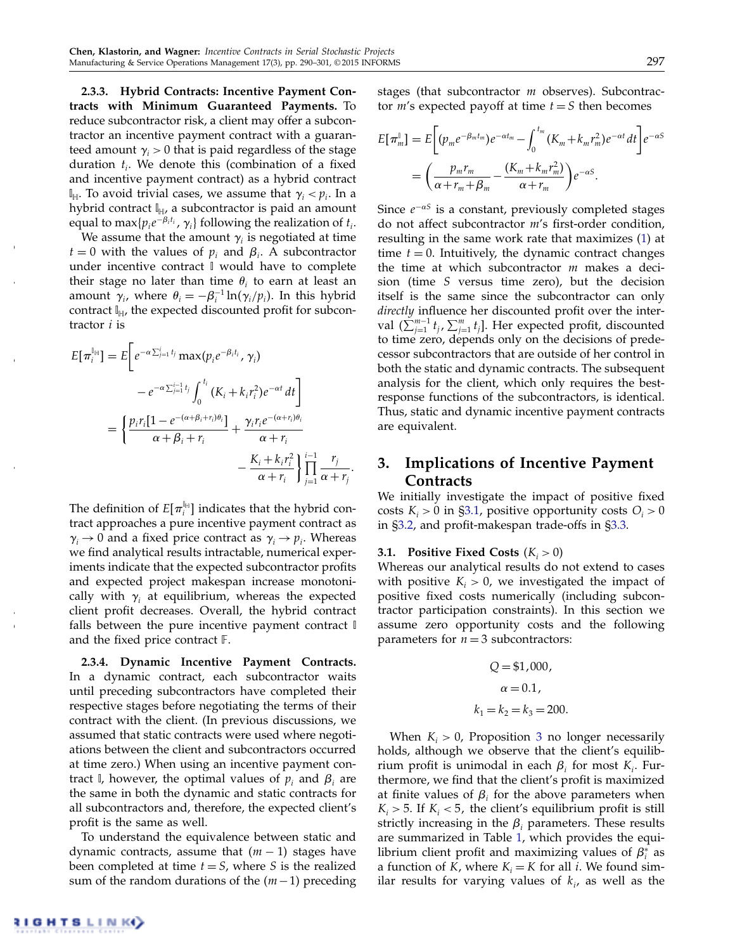2.3.3. Hybrid Contracts: Incentive Payment Contracts with Minimum Guaranteed Payments. To reduce subcontractor risk, a client may offer a subcontractor an incentive payment contract with a guaranteed amount  $\gamma$ <sub>i</sub> > 0 that is paid regardless of the stage duration  $t_i$ . We denote this (combination of a fixed and incentive payment contract) as a hybrid contract  $\mathbb{I}_{\mathbb{H}}$ . To avoid trivial cases, we assume that  $\gamma_i < p_i$ . In a hybrid contract IH, a subcontractor is paid an amount equal to max $\{p_i e^{-\beta_i t_i}, \gamma_i\}$  following the realization of  $t_i$ .

We assume that the amount  $\gamma_i$  is negotiated at time  $t = 0$  with the values of  $p_i$  and  $\beta_i$ . A subcontractor under incentive contract I would have to complete their stage no later than time  $\theta_i$  to earn at least an amount  $\gamma_i$ , where  $\theta_i = -\beta_i^{-1} \ln(\gamma_i/p_i)$ . In this hybrid contract  $\mathbb{I}_{\mathbb{H}}$ , the expected discounted profit for subcontractor  $i$  is

$$
E[\pi_i^{\mathbb{I}_{\mathbb{H}}}] = E\bigg[e^{-\alpha \sum_{j=1}^i t_j} \max(p_i e^{-\beta_i t_i}, \gamma_i) - e^{-\alpha \sum_{j=1}^{i-1} t_j} \int_0^{t_i} (K_i + k_i r_i^2) e^{-\alpha t} dt \bigg]
$$
  

$$
= \bigg\{ \frac{p_i r_i [1 - e^{-(\alpha + \beta_i + r_i)\theta_i}]}{\alpha + \beta_i + r_i} + \frac{\gamma_i r_i e^{-(\alpha + r_i)\theta_i}}{\alpha + r_i} - \frac{K_i + k_i r_i^2}{\alpha + r_i} \bigg\} \prod_{j=1}^{i-1} \frac{r_j}{\alpha + r_j} \bigg\}
$$

The definition of  $E[\pi_i^{\mathbb{I}_{\mathbb{H}}}]$  indicates that the hybrid contract approaches a pure incentive payment contract as  $\gamma_i \rightarrow 0$  and a fixed price contract as  $\gamma_i \rightarrow p_i$ . Whereas we find analytical results intractable, numerical experiments indicate that the expected subcontractor profits and expected project makespan increase monotonically with  $\gamma_i$  at equilibrium, whereas the expected client profit decreases. Overall, the hybrid contract falls between the pure incentive payment contract I and the fixed price contract  $\mathbb{F}$ .

2.3.4. Dynamic Incentive Payment Contracts. In a dynamic contract, each subcontractor waits until preceding subcontractors have completed their respective stages before negotiating the terms of their contract with the client. (In previous discussions, we assumed that static contracts were used where negotiations between the client and subcontractors occurred at time zero.) When using an incentive payment contract I, however, the optimal values of  $p_i$  and  $\beta_i$  are the same in both the dynamic and static contracts for all subcontractors and, therefore, the expected client's profit is the same as well.

To understand the equivalence between static and dynamic contracts, assume that  $(m - 1)$  stages have been completed at time  $t = S$ , where S is the realized sum of the random durations of the  $(m-1)$  preceding stages (that subcontractor *m* observes). Subcontractor *m's* expected payoff at time  $t = S$  then becomes

$$
E[\pi_m^{\mathbb{I}}] = E\bigg[(p_m e^{-\beta_m t_m})e^{-\alpha t_m} - \int_0^{t_m} (K_m + k_m r_m^2)e^{-\alpha t} dt\bigg]e^{-\alpha S}
$$
  
=  $\bigg(\frac{p_m r_m}{\alpha + r_m + \beta_m} - \frac{(K_m + k_m r_m^2)}{\alpha + r_m}\bigg)e^{-\alpha S}.$ 

Since  $e^{-\alpha S}$  is a constant, previously completed stages do not affect subcontractor m's first-order condition, resulting in the same work rate that maximizes (1) at time  $t = 0$ . Intuitively, the dynamic contract changes the time at which subcontractor  $m$  makes a decision (time S versus time zero), but the decision itself is the same since the subcontractor can only directly influence her discounted profit over the interval  $(\sum_{i=1}^{m-1} t_i, \sum_{i=1}^{m} t_i]$ . Her expected profit, discounted to time zero, depends only on the decisions of predecessor subcontractors that are outside of her control in both the static and dynamic contracts. The subsequent analysis for the client, which only requires the bestresponse functions of the subcontractors, is identical. Thus, static and dynamic incentive payment contracts are equivalent.

#### **Implications of Incentive Payment** 3. Contracts

We initially investigate the impact of positive fixed costs  $K_i > 0$  in §3.1, positive opportunity costs  $O_i > 0$ in §3.2, and profit-makespan trade-offs in §3.3.

#### 3.1. Positive Fixed Costs  $(K_i > 0)$

Whereas our analytical results do not extend to cases with positive  $K_i > 0$ , we investigated the impact of positive fixed costs numerically (including subcontractor participation constraints). In this section we assume zero opportunity costs and the following parameters for  $n = 3$  subcontractors:

$$
Q = $1,000,
$$
  

$$
\alpha = 0.1,
$$
  

$$
k_1 = k_2 = k_3 = 200.
$$

When  $K_i > 0$ , Proposition 3 no longer necessarily holds, although we observe that the client's equilibrium profit is unimodal in each  $\beta_i$  for most  $K_i$ . Furthermore, we find that the client's profit is maximized at finite values of  $\beta_i$  for the above parameters when  $K_i > 5$ . If  $K_i < 5$ , the client's equilibrium profit is still strictly increasing in the  $\beta_i$  parameters. These results are summarized in Table 1, which provides the equilibrium client profit and maximizing values of  $\beta_i^*$  as a function of K, where  $K_i = K$  for all i. We found similar results for varying values of  $k_i$ , as well as the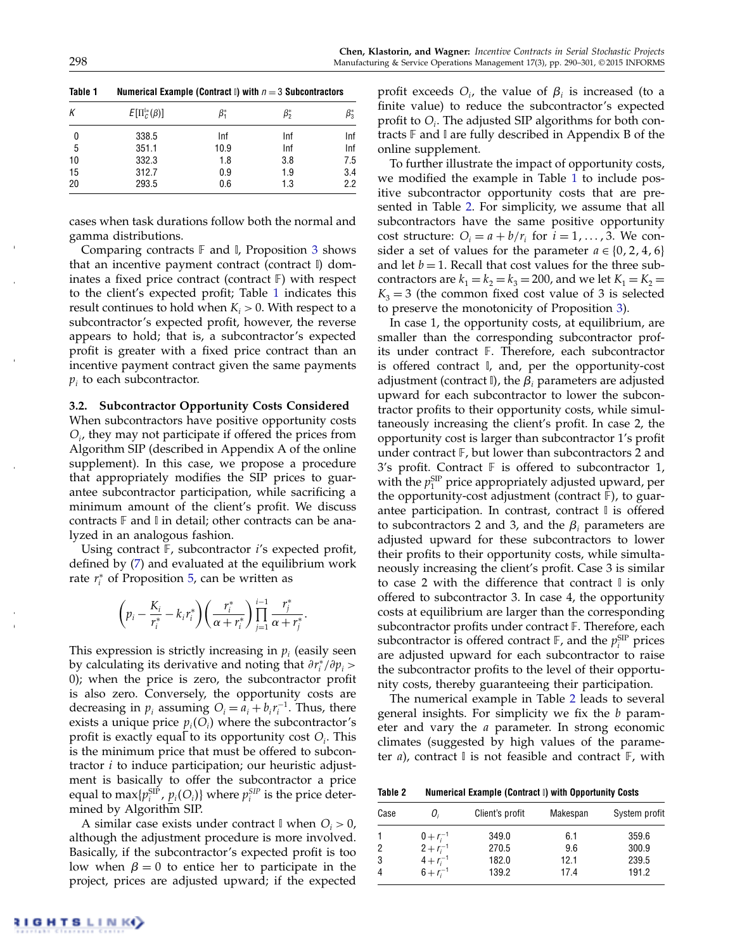| К  | $E[\Pi_{\mathcal{C}}^{L*}(\beta)]$ | $\beta^*$ | $\beta_2^*$ | $\beta_3^*$ |  |  |
|----|------------------------------------|-----------|-------------|-------------|--|--|
| 0  | 338.5                              | Inf       | Inf         | Inf         |  |  |
| 5  | 351.1                              | 10.9      | Inf         | Inf         |  |  |
| 10 | 332.3                              | 1.8       | 3.8         | 7.5         |  |  |
| 15 | 312.7                              | 0.9       | 1.9         | 3.4         |  |  |
| 20 | 293.5                              | 0.6       | 1.3         | 2.2         |  |  |

| Table 1 | Numerical Example (Contract I) with $n=3$ Subcontractors |
|---------|----------------------------------------------------------|
|---------|----------------------------------------------------------|

cases when task durations follow both the normal and gamma distributions.

Comparing contracts  $F$  and  $I$ , Proposition 3 shows that an incentive payment contract (contract I) dominates a fixed price contract (contract  $F$ ) with respect to the client's expected profit; Table 1 indicates this result continues to hold when  $K_i > 0$ . With respect to a subcontractor's expected profit, however, the reverse appears to hold; that is, a subcontractor's expected profit is greater with a fixed price contract than an incentive payment contract given the same payments  $p_i$  to each subcontractor.

### 3.2. Subcontractor Opportunity Costs Considered

When subcontractors have positive opportunity costs  $O_i$ , they may not participate if offered the prices from Algorithm SIP (described in Appendix A of the online supplement). In this case, we propose a procedure that appropriately modifies the SIP prices to guarantee subcontractor participation, while sacrificing a minimum amount of the client's profit. We discuss contracts **F** and **I** in detail; other contracts can be analyzed in an analogous fashion.

Using contract  $\mathbb{F}$ , subcontractor *i*'s expected profit, defined by (7) and evaluated at the equilibrium work rate  $r_i^*$  of Proposition 5, can be written as

$$
\left(p_i - \frac{K_i}{r_i^*} - k_i r_i^*\right) \left(\frac{r_i^*}{\alpha + r_i^*}\right) \prod_{j=1}^{i-1} \frac{r_j^*}{\alpha + r_j^*}.
$$

This expression is strictly increasing in  $p_i$  (easily seen by calculating its derivative and noting that  $\partial r_i^* / \partial p_i$  > 0); when the price is zero, the subcontractor profit is also zero. Conversely, the opportunity costs are decreasing in  $p_i$  assuming  $O_i = a_i + b_i r_i^{-1}$ . Thus, there exists a unique price  $p_i(O_i)$  where the subcontractor's profit is exactly equal to its opportunity cost  $O_i$ . This is the minimum price that must be offered to subcontractor  $i$  to induce participation; our heuristic adjustment is basically to offer the subcontractor a price equal to max $\{p_i^{\text{SIP}}\$ ,  $p_i(O_i)\}$  where  $p_i^{\text{SIP}}$  is the price determined by Algorithm SIP.

A similar case exists under contract  $\mathbb{I}$  when  $O_i > 0$ , although the adjustment procedure is more involved. Basically, if the subcontractor's expected profit is too low when  $\beta = 0$  to entice her to participate in the project, prices are adjusted upward; if the expected profit exceeds  $O_i$ , the value of  $\beta_i$  is increased (to a finite value) to reduce the subcontractor's expected profit to  $O_i$ . The adjusted SIP algorithms for both contracts  $\mathbb F$  and  $\mathbb I$  are fully described in Appendix B of the online supplement.

To further illustrate the impact of opportunity costs, we modified the example in Table 1 to include positive subcontractor opportunity costs that are presented in Table 2. For simplicity, we assume that all subcontractors have the same positive opportunity cost structure:  $Q_i = a + b/r_i$  for  $i = 1, ..., 3$ . We consider a set of values for the parameter  $a \in \{0, 2, 4, 6\}$ and let  $b = 1$ . Recall that cost values for the three subcontractors are  $k_1 = k_2 = k_3 = 200$ , and we let  $K_1 = K_2 =$  $K_3 = 3$  (the common fixed cost value of 3 is selected to preserve the monotonicity of Proposition 3).

In case 1, the opportunity costs, at equilibrium, are smaller than the corresponding subcontractor profits under contract F. Therefore, each subcontractor is offered contract I, and, per the opportunity-cost adjustment (contract I), the  $\beta_i$  parameters are adjusted upward for each subcontractor to lower the subcontractor profits to their opportunity costs, while simultaneously increasing the client's profit. In case 2, the opportunity cost is larger than subcontractor 1's profit under contract F, but lower than subcontractors 2 and 3's profit. Contract  $F$  is offered to subcontractor 1, with the  $p_1^{\text{SP}}$  price appropriately adjusted upward, per the opportunity-cost adjustment (contract  $F$ ), to guarantee participation. In contrast, contract I is offered to subcontractors 2 and 3, and the  $\beta_i$  parameters are adjusted upward for these subcontractors to lower their profits to their opportunity costs, while simultaneously increasing the client's profit. Case 3 is similar to case 2 with the difference that contract  $\mathbb I$  is only offered to subcontractor 3. In case 4, the opportunity costs at equilibrium are larger than the corresponding subcontractor profits under contract F. Therefore, each subcontractor is offered contract  $\mathbb{F}$ , and the  $p_i^{\text{SIP}}$  prices are adjusted upward for each subcontractor to raise the subcontractor profits to the level of their opportunity costs, thereby guaranteeing their participation.

The numerical example in Table 2 leads to several general insights. For simplicity we fix the *b* parameter and vary the *a* parameter. In strong economic climates (suggested by high values of the parameter *a*), contract  $\mathbb{I}$  is not feasible and contract  $\mathbb{F}$ , with

Table 2 Numerical Example (Contract I) with Opportunity Costs

| Case | $U_i$          | Client's profit | Makespan | System profit |
|------|----------------|-----------------|----------|---------------|
|      | $0 + r_i^{-1}$ | 349.0           | 6.1      | 359.6         |
| 2    | $2 + r_i^{-1}$ | 270.5           | 9.6      | 300.9         |
| 3    | $4 + r_i^{-1}$ | 182.0           | 12.1     | 239.5         |
|      | $6 + r_i^{-1}$ | 139.2           | 17.4     | 191.2         |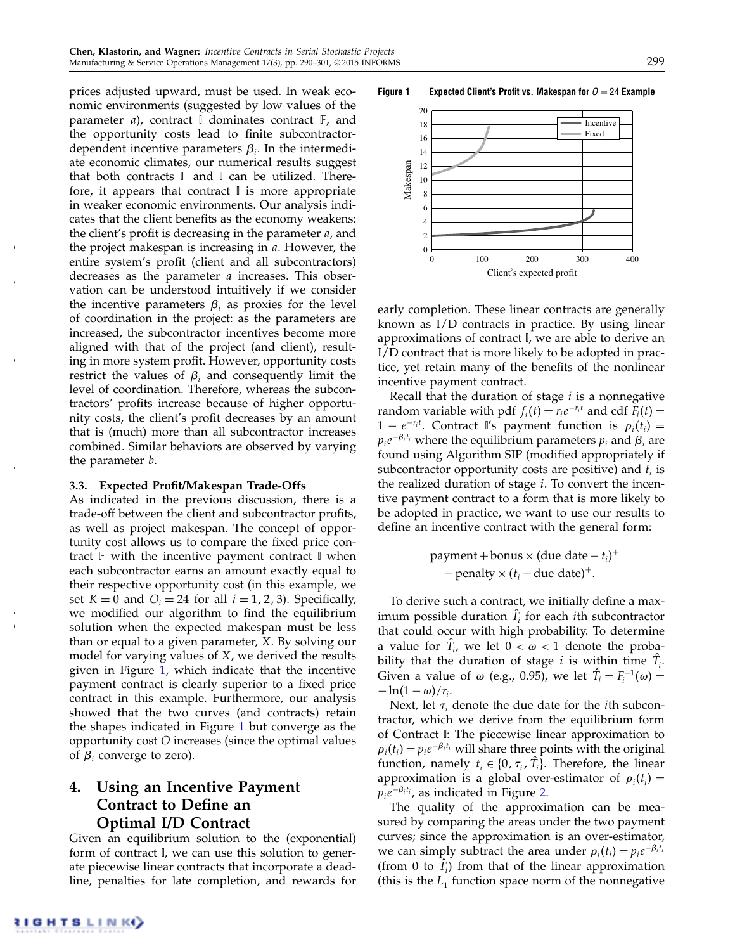prices adjusted upward, must be used. In weak economic environments (suggested by low values of the parameter  $a$ ), contract  $\mathbb I$  dominates contract  $\mathbb F$ , and the opportunity costs lead to finite subcontractordependent incentive parameters  $\beta_i$ . In the intermediate economic climates, our numerical results suggest that both contracts  $\mathbb F$  and  $\mathbb I$  can be utilized. Therefore, it appears that contract  $\mathbb I$  is more appropriate in weaker economic environments. Our analysis indicates that the client benefits as the economy weakens: the client's profit is decreasing in the parameter *a*, and the project makespan is increasing in *a*. However, the entire system's profit (client and all subcontractors) decreases as the parameter *a* increases. This observation can be understood intuitively if we consider the incentive parameters  $\beta_i$  as proxies for the level of coordination in the project: as the parameters are increased, the subcontractor incentives become more aligned with that of the project (and client), resulting in more system profit. However, opportunity costs restrict the values of  $\beta_i$  and consequently limit the level of coordination. Therefore, whereas the subcontractors' profits increase because of higher opportunity costs, the client's profit decreases by an amount that is (much) more than all subcontractor increases combined. Similar behaviors are observed by varying the parameter *b*.

#### 3.3. Expected Profit/Makespan Trade-Offs

As indicated in the previous discussion, there is a trade-off between the client and subcontractor profits, as well as project makespan. The concept of opportunity cost allows us to compare the fixed price contract  $\mathbb F$  with the incentive payment contract  $\mathbb I$  when each subcontractor earns an amount exactly equal to their respective opportunity cost (in this example, we set  $K = 0$  and  $O_i = 24$  for all  $i = 1, 2, 3$ ). Specifically, we modified our algorithm to find the equilibrium solution when the expected makespan must be less than or equal to a given parameter, *X*. By solving our model for varying values of *X*, we derived the results given in Figure 1, which indicate that the incentive payment contract is clearly superior to a fixed price contract in this example. Furthermore, our analysis showed that the two curves (and contracts) retain the shapes indicated in Figure 1 but converge as the opportunity cost *O* increases (since the optimal values of  $\beta_i$  converge to zero).

## 4. Using an Incentive Payment Contract to Define an Optimal I/D Contract

Given an equilibrium solution to the (exponential) form of contract  $\mathbb{I}$ , we can use this solution to generate piecewise linear contracts that incorporate a deadline, penalties for late completion, and rewards for

$$
\mathbf{1}_{\mathbf{1}} \in \mathbb{R}^{n}
$$



 $\theta$  $\overline{2}$ 4 6

20

Figure 1 Expected Client's Profit vs. Makespan for  $0 = 24$  Example



0 100 200 300 400

Client's expected profit

Recall that the duration of stage *i* is a nonnegative random variable with pdf  $f_i(t) = r_i e^{-r_i t}$  and cdf  $F_i(t) =$  $1 - e^{-r_i t}$ . Contract I's payment function is  $\rho_i(t_i) =$  $p_i e^{-\beta_i t_i}$  where the equilibrium parameters  $p_i$  and  $\beta_i$  are found using Algorithm SIP (modified appropriately if subcontractor opportunity costs are positive) and  $t_i$  is the realized duration of stage *i*. To convert the incentive payment contract to a form that is more likely to be adopted in practice, we want to use our results to define an incentive contract with the general form:

\n
$$
\text{payment} + \text{bonus} \times (\text{due date} - t_i)^+ - \text{penalty} \times (t_i - \text{due date})^+.
$$
\n

To derive such a contract, we initially define a maximum possible duration *T*ˆ *<sup>i</sup>* for each *i*th subcontractor that could occur with high probability. To determine a value for  $T_i$ , we let  $0 < \omega < 1$  denote the probability that the duration of stage  $i$  is within time  $T_i$ . Given a value of  $\omega$  (e.g., 0.95), we let  $\hat{T}_i = F_i^{-1}(\omega) =$  $-\ln(1-\omega)/r_i$ .

Next, let  $\tau_i$  denote the due date for the *i*th subcontractor, which we derive from the equilibrium form of Contract I: The piecewise linear approximation to  $\rho_i(t_i) = p_i e^{-\beta_i t_i}$  will share three points with the original function, namely  $t_i \in \{0, \tau_i, T_i\}$ . Therefore, the linear approximation is a global over-estimator of  $\rho_i(t_i)$  =  $p_i e^{-\beta_i t_i}$ , as indicated in Figure 2.

The quality of the approximation can be measured by comparing the areas under the two payment curves; since the approximation is an over-estimator, we can simply subtract the area under  $\rho_i(t_i) = p_i e^{-\beta_i t_i}$ (from  $0$  to  $T_i$ ) from that of the linear approximation (this is the  $L_1$  function space norm of the nonnegative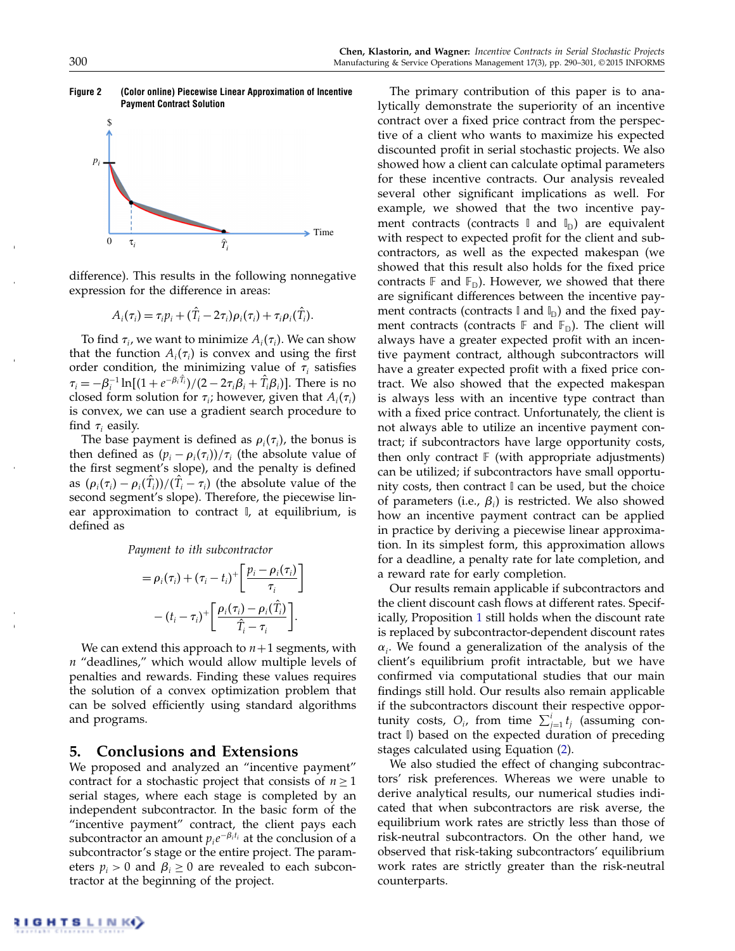

Figure 2 (Color online) Piecewise Linear Approximation of Incentive

difference). This results in the following nonnegative expression for the difference in areas:

$$
A_i(\tau_i) = \tau_i p_i + (\hat{T}_i - 2\tau_i)\rho_i(\tau_i) + \tau_i \rho_i(\hat{T}_i).
$$

To find  $\tau_i$ , we want to minimize  $A_i(\tau_i)$ . We can show that the function  $A_i(\tau)$  is convex and using the first order condition, the minimizing value of  $\tau_i$  satisfies  $\tau_i = -\beta_i^{-1} \ln[(1 + e^{-\beta_i T_i})/(2 - 2\tau_i \beta_i + T_i \beta_i)].$  There is no closed form solution for  $\tau_i$ ; however, given that  $A_i(\tau_i)$ is convex, we can use a gradient search procedure to find  $\tau_i$  easily.

The base payment is defined as  $\rho_i(\tau_i)$ , the bonus is then defined as  $(p_i - \rho_i(\tau_i))/\tau_i$  (the absolute value of the first segment's slope), and the penalty is defined as  $(\rho_i(\tau_i) - \rho_i(\tilde{T}_i))/(\tilde{T}_i - \tau_i)$  (the absolute value of the second segment's slope). Therefore, the piecewise linear approximation to contract I, at equilibrium, is defined as

Payment to ith subcontractor

$$
= \rho_i(\tau_i) + (\tau_i - t_i)^+ \left[ \frac{p_i - \rho_i(\tau_i)}{\tau_i} \right]
$$

$$
- (t_i - \tau_i)^+ \left[ \frac{\rho_i(\tau_i) - \rho_i(\hat{T}_i)}{\hat{T}_i - \tau_i} \right].
$$

We can extend this approach to  $n+1$  segments, with  $n$  "deadlines," which would allow multiple levels of penalties and rewards. Finding these values requires the solution of a convex optimization problem that can be solved efficiently using standard algorithms and programs.

#### 5. **Conclusions and Extensions**

We proposed and analyzed an "incentive payment" contract for a stochastic project that consists of  $n \ge 1$ serial stages, where each stage is completed by an independent subcontractor. In the basic form of the "incentive payment" contract, the client pays each subcontractor an amount  $p_i e^{-\beta_i t_i}$  at the conclusion of a subcontractor's stage or the entire project. The parameters  $p_i > 0$  and  $\beta_i \ge 0$  are revealed to each subcontractor at the beginning of the project.

The primary contribution of this paper is to analytically demonstrate the superiority of an incentive contract over a fixed price contract from the perspective of a client who wants to maximize his expected discounted profit in serial stochastic projects. We also showed how a client can calculate optimal parameters for these incentive contracts. Our analysis revealed several other significant implications as well. For example, we showed that the two incentive payment contracts (contracts  $\mathbb I$  and  $\mathbb I_{\mathbb D}$ ) are equivalent with respect to expected profit for the client and subcontractors, as well as the expected makespan (we showed that this result also holds for the fixed price contracts  $\mathbb F$  and  $\mathbb F_{\mathbb D}$ ). However, we showed that there are significant differences between the incentive payment contracts (contracts  $\mathbb{I}$  and  $\mathbb{I}_D$ ) and the fixed payment contracts (contracts  $\mathbb F$  and  $\mathbb F_{\mathbb D}$ ). The client will always have a greater expected profit with an incentive payment contract, although subcontractors will have a greater expected profit with a fixed price contract. We also showed that the expected makespan is always less with an incentive type contract than with a fixed price contract. Unfortunately, the client is not always able to utilize an incentive payment contract; if subcontractors have large opportunity costs, then only contract  $F$  (with appropriate adjustments) can be utilized; if subcontractors have small opportunity costs, then contract I can be used, but the choice of parameters (i.e.,  $\beta_i$ ) is restricted. We also showed how an incentive payment contract can be applied in practice by deriving a piecewise linear approximation. In its simplest form, this approximation allows for a deadline, a penalty rate for late completion, and a reward rate for early completion.

Our results remain applicable if subcontractors and the client discount cash flows at different rates. Specifically, Proposition 1 still holds when the discount rate is replaced by subcontractor-dependent discount rates  $\alpha_i$ . We found a generalization of the analysis of the client's equilibrium profit intractable, but we have confirmed via computational studies that our main findings still hold. Our results also remain applicable if the subcontractors discount their respective opportunity costs,  $O_i$ , from time  $\sum_{i=1}^{i} t_i$  (assuming contract I) based on the expected duration of preceding stages calculated using Equation (2).

We also studied the effect of changing subcontractors' risk preferences. Whereas we were unable to derive analytical results, our numerical studies indicated that when subcontractors are risk averse, the equilibrium work rates are strictly less than those of risk-neutral subcontractors. On the other hand, we observed that risk-taking subcontractors' equilibrium work rates are strictly greater than the risk-neutral counterparts.